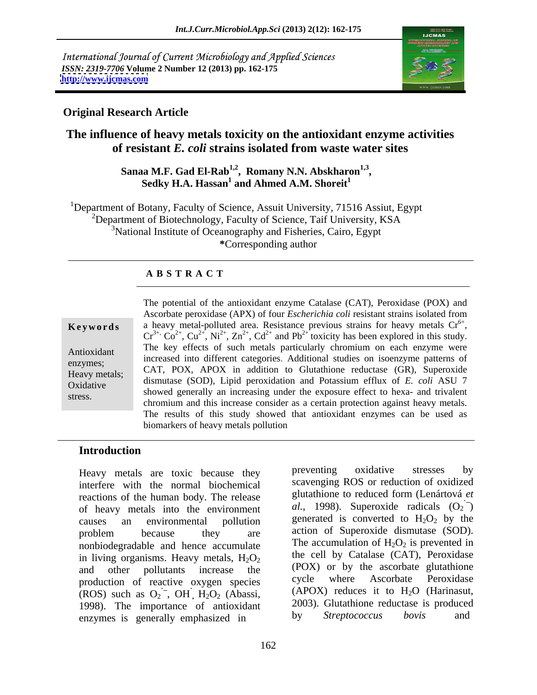International Journal of Current Microbiology and Applied Sciences *ISSN: 2319-7706* **Volume 2 Number 12 (2013) pp. 162-175 <http://www.ijcmas.com>**



#### **Original Research Article**

### **The influence of heavy metals toxicity on the antioxidant enzyme activities of resistant** *E. coli* **strains isolated from waste water sites**

# Sanaa M.F. Gad El-Rab<sup>1,2</sup>, Romany N.N. Abskharon<sup>1,3</sup>,<br>Sedky H.A. Hassan<sup>1</sup> and Ahmed A.M. Shoreit<sup>1</sup>

<sup>1</sup>Department of Botany, Faculty of Science, Assuit University, 71516 Assiut, Egypt <sup>2</sup>Department of Biotechnology, Faculty of Science, Taif University, KSA <sup>3</sup>National Institute of Oceanography and Fisheries, Cairo, Egypt **\***Corresponding author

#### **A B S T R A C T**

**Keywords** a heavy metal-polluted area. Resistance previous strains for heavy metals Cr<sup>6+</sup>, Antioxidant The key effects of such metals particularly chromium on each enzyme were enzymes;  $CAT$  pov apov is addition to Clientine and hotels (CD). Seemingly  $H$ Eavy metals; CAT, POX, APOX in addition to Glutathione reductase (GR), Superoxide Oxidative dismutase (SOD), Lipid peroxidation and Potassium efflux of *E. coli* ASU 7 showed generally an increasing under the exposure effect to hexa- and trivalent stress. The potential of the antioxidant enzyme Catalase (CAT), Peroxidase (POX) and Ascorbate peroxidase (APX) of four *Escherichia coli* resistant strains isolated from a heavy metal-polluted area. Resistance previous strains for heavy metals  $Cr^{6+}$ ,  $Cr^{3+}$ ,  $Co^{2+}$ ,  $Cu^{2+}$ ,  $Ni^{2+}$ ,  $Zn^{2+}$ ,  $Cd^{2+}$  and  $Pb^{2+}$  toxicity has been explored in this study. increased into different categories. Additional studies on isoenzyme patterns of chromium and this increase consider as a certain protection against heavy metals. The results of this study showed that antioxidant enzymes can be used as biomarkers of heavy metals pollution

#### **Introduction**

interfere with the normal biochemical reactions of the human body. The release of heavy metals into the environment causes an environmental pollution generated is converted to  $H_2O_2$  by the problem because they are action of Superoxide dismutase (SOD). nonbiodegradable and hence accumulate in living organisms. Heavy metals,  $H_2O_2$ and other pollutants increase the (POX) or by the ascorbate glutathione production of reactive oxygen species cycle where Ascorbate Peroxidase (ROS) such as  $O_2$ , OH,  $H_2O_2$  (Abassi, 1998). The importance of antioxidant 2003). Glutathione reductase is produced<br>enzymes is generally emphasized in by *Streptococcus* boyis and enzymes is generally emphasized in

Heavy metals are toxic because they preventing oxidative stresses by preventing oxidative stresses by scavenging ROS or reduction of oxidized glutathione to reduced form (Lenártová *et al.*, 1998). Superoxide radicals  $(O_2^-)$ generated is converted to  $H_2O_2$  by the action of Superoxide dismutase (SOD). The accumulation of  $H_2O_2$  is prevented in the cell by Catalase (CAT), Peroxidase (POX) or by the ascorbate glutathione cycle where Ascorbate Peroxidase (APOX) reduces it to  $H_2O$  (Harinasut, 2003). Glutathione reductase is produced by *Streptococcus bovis* and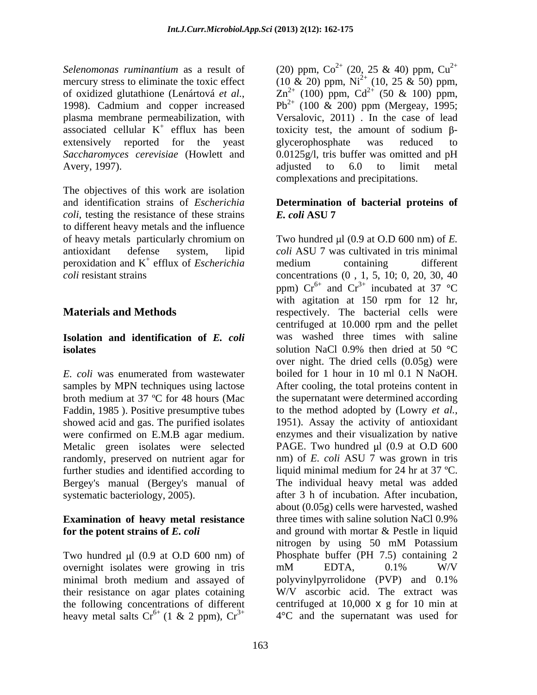associated cellular  $K^+$  efflux has been extensively reported for the yeast glycerophosphate was reduced to Avery, 1997). adjusted to 6.0 to limit metal

The objectives of this work are isolation and identification strains of *Escherichia*  **Determination of bacterial proteins of** *coli*, testing the resistance of these strains  $E$ , *coli* ASU  $7$ to different heavy metals and the influence peroxidation and  $K^+$  efflux of *Escherichia* medium containing different

#### **Isolation and identification of** *E. coli* **isolates** isolates and **isolates** solution NaCl 0.9% then dried at 50 °C

samples by MPN techniques using lactose broth medium at 37 ºC for 48 hours (Mac Faddin, 1985). Positive presumptive tubes to the method adopted by (Lowry et al., showed acid and gas. The purified isolates 1951). Assay the activity of antioxidant were confirmed on E.M.B agar medium. randomly, preserved on nutrient agar for further studies and identified according to

## **Examination of heavy metal resistance**

overnight isolates were growing in tris mM EDTA, 0.1% W/V minimal broth medium and assayed of polyvinylpyrrolidone (PVP) and 0.1% their resistance on agar plates cotaining heavy metal salts  $Cr^{6+}$  (1 & 2 ppm),  $Cr^{3+}$ 

*Selenomonas ruminantium* as a result of  $(20)$  ppm,  $Co^{2+}$   $(20, 25 \& 40)$  ppm,  $Cu^{2+}$ mercury stress to eliminate the toxic effect  $(10 \& 20)$  ppm,  $Ni^{2+}$   $(10, 25 \& 50)$  ppm, of oxidized glutathione (Lenártová *et al.*,  $Zn^{2+}$  (100) ppm, Cd<sup>2+</sup> (50 & 100) ppm,<br>1998). Cadmium and copper increased Pb<sup>2+</sup> (100 & 200) ppm (Mergeay, 1995; plasma membrane permeabilization, with Versalovic, 2011) . In the case of lead  $^+$  efflux has been toxicity test, the amount of sodium  $\beta$ -*Saccharomyces cerevisiae* (Howlett and 0.0125g/l, tris buffer was omitted and pH  $2^+$  (20, 25 & 40) ppm, Cu<sup>2+</sup>  $2+$  $Zn^{2+}$  (100) ppm, Cd<sup>2+</sup> (50 & 100) ppm,  $2^+$  (50 & 100) ppm,  $Pb^{2+}$  (100 & 200) ppm (Mergeay, 1995; glycerophosphate was reduced to adjusted to 6.0 to limit metal complexations and precipitations.

## *E. coli* **ASU 7**

of heavy metals particularly chromium on Two hundred µl (0.9 at O.D 600 nm) of *E*. antioxidant defense system, lipid *coli* ASU 7 was cultivated in tris minimal  $^+$  of  $F$ scherichia modum containing different efflux of *Escherichia coli* resistant strains concentrations (0 , 1, 5, 10; 0, 20, 30, 40 **Materials and Methods respectively**. The bacterial cells were *E. coli* was enumerated from wastewater boiled for 1 hour in 10 ml 0.1 N NaOH. Metalic green isolates were selected PAGE. Two hundred µl (0.9 at O.D 600 Bergey's manual (Bergey's manual of The individual heavy metal was added systematic bacteriology, 2005). after 3 h of incubation. After incubation, **for the potent strains of** *E. coli* and ground with mortar & Pestle in liquid Two hundred µl (0.9 at O.D 600 nm) of Phosphate buffer (PH 7.5) containing 2 the following concentrations of different centrifuged at 10,000 x g for 10 min at medium containing different ppm)  $Cr^{6+}$  and  $Cr^{3+}$  incubated at 37 °C with agitation at 150 rpm for 12 hr, centrifuged at 10.000 rpm and the pellet was washed three times with saline solution NaCl 0.9% then dried at 50  $^{\circ}$ C over night. The dried cells (0.05g) were boiled for 1 hour in 10 ml 0.1 N NaOH. After cooling, the total proteins content in the supernatant were determined according to the method adopted by (Lowry *et al.*, 1951). Assay the activity of antioxidant enzymes and their visualization by native nm) of *E. coli* ASU 7 was grown in tris liquid minimal medium for 24 hr at 37 ºC. about (0.05g) cells were harvested, washed three times with saline solution NaCl 0.9% nitrogen by using 50 mM Potassium  $mM$  EDTA,  $0.1\%$  W/V polyvinylpyrrolidone (PVP) and 0.1% W/V ascorbic acid. The extract was 4°C and the supernatant was used for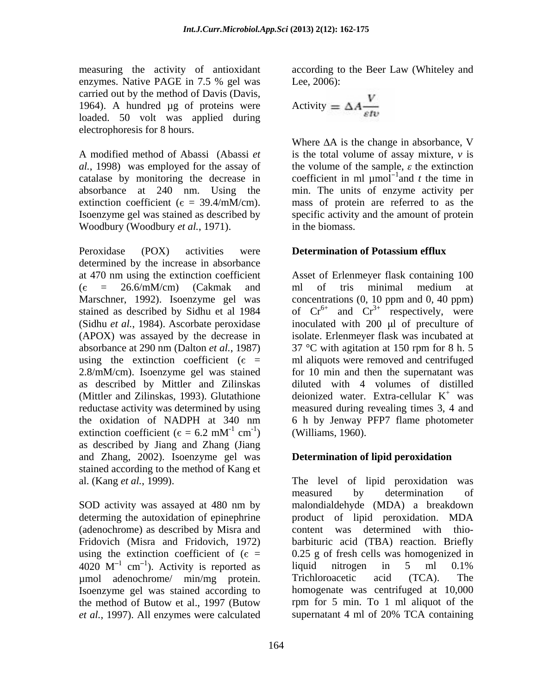measuring the activity of antioxidant enzymes. Native PAGE in 7.5 % gel was Lee, 2006): carried out by the method of Davis (Davis, 1964). A hundred  $\mu$ g of proteins were  $A$ loaded. 50 volt was applied during electrophoresis for 8 hours.

*al.*, 1998) was employed for the assay of

Woodbury (Woodbury *et al.*, 1971). <br>Peroxidase (POX) activities were **Determination of Potassium efflux** determined by the increase in absorbance at 470 nm using the extinction coefficient Asset of Erlenmeyer flask containing 100  $(\epsilon$  = 26.6/mM/cm) (Cakmak and ml of tris minimal medium at Marschner, 1992). Isoenzyme gel was concentrations (0, 10 ppm and 0, 40 ppm) stained as described by Sidhu et al 1984 of  $Cr^{6+}$  and  $Cr^{3+}$  respectively, were (Sidhu *et al.*, 1984). Ascorbate peroxidase inoculated with 200 µl of preculture of (APOX) was assayed by the decrease in isolate. Erlenmeyer flask was incubated at absorbance at 290 nm (Dalton *et al.*, 1987) 37 °C with agitation at 150 rpm for 8 h. 5 using the extinction coefficient ( $\epsilon$  = ml aliquots were removed and centrifuged 2.8/mM/cm). Isoenzyme gel was stained as described by Mittler and Zilinskas (Mittler and Zilinskas, 1993). Glutathione deionized water. Extra-cellular  $K^+$  was reductase activity was determined by using measured during revealing times 3, 4 and the oxidation of NADPH at 340 nm 6 h by Jenway PFP7 flame photometer extinction coefficient ( $\epsilon = 6.2$  mM<sup>-1</sup> cm<sup>-1</sup>) (Williams, 1960). as described by Jiang and Zhang (Jiang and Zhang, 2002). Isoenzyme gel was stained according to the method of Kang et

using the extinction coefficient of  $(\epsilon =$ umol adenochrome/ min/mg protein. Trichloroacetic acid (TCA). The Isoenzyme gel was stained according to the method of Butow et al., 1997 (Butow *et al.*, 1997). All enzymes were calculated

according to the Beer Law (Whiteley and Lee, 2006):

Activity = 
$$
\Delta A \frac{V}{\varepsilon t v}
$$

A modified method of Abassi (Abassi *et* is the total volume of assay mixture, *v* is catalase by monitoring the decrease in coefficient in ml  $\mu$ mol<sup>-1</sup>and t the time in absorbance at 240 nm. Using the min. The units of enzyme activity per extinction coefficient ( $\epsilon = 39.4/\text{m}$ M/cm). mass of protein are referred to as the Isoenzyme gel was stained as described by specific activity and the amount of protein Where  $\Delta A$  is the change in absorbance, V the volume of the sample,  $\varepsilon$  the extinction and *t* the time in in the biomass.

### **Determination of Potassium efflux**

 $^{-1}$  cm<sup>-1</sup>) (Williams 1060)  $\text{cm}^{-1})$  (Williams, 1960).  $\frac{1}{1}$  (Williams 1060) ) (Williams, 1960). ml of tris minimal medium at respectively, were for 10 min and then the supernatant was diluted with 4 volumes of distilled deionized water. Extra-cellular K  $+$  was

### **Determination of lipid peroxidation**

al. (Kang *et al.*, 1999).<br>
SOD activity was assayed at 480 nm by<br>
SOD activity was assayed at 480 nm by<br>
SOD activity was assayed at 480 nm by<br>
SOD activity was assayed at 480 nm by determing the autoxidation of epinephrine broduct of lipid peroxidation. MDA (adenochrome) as described by Misra and content was determined with thio- Fridovich (Misra and Fridovich, 1972) barbituric acid (TBA) reaction. Briefly 4020  $M^{-1}$  cm<sup>-1</sup>). Activity is reported as liquid nitrogen in 5 ml 0.1% The level of lipid peroxidation was measured by determination of malondialdehyde (MDA) a breakdown 0.25 g of fresh cells was homogenized in liquid nitrogen in 5 ml 0.1% Trichloroacetic acid (TCA). The homogenate was centrifuged at 10,000 rpm for 5 min. To 1 ml aliquot of the supernatant 4 ml of 20% TCA containing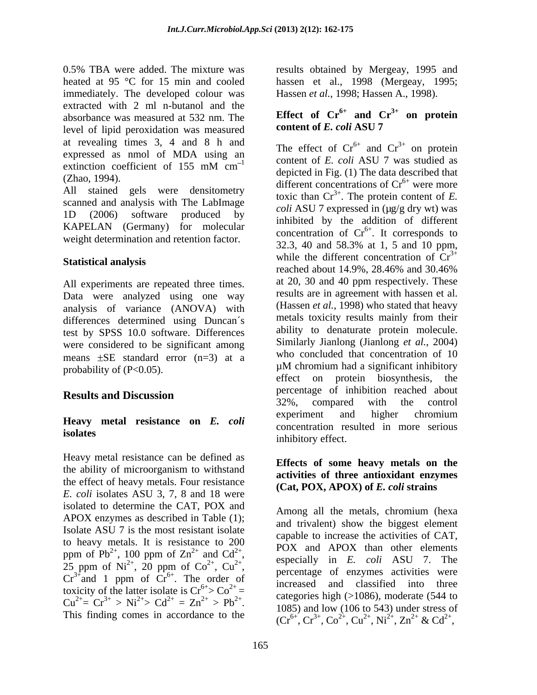immediately. The developed colour was extracted with 2 ml n-butanol and the absorbance was measured at 532 nm. The **Effect of**  $\mathbb{C}r^{\prime\prime}$  **and**  $\mathbb{C}r^{\prime\prime}$  and  $\mathbb{C}r^{\prime\prime}$  and  $\mathbb{C}r^{\prime\prime}$ level of lipid peroxidation was measured at revealing times 3, 4 and 8 h and<br>
The effect of  $Cr^{6+}$  and  $Cr^{3+}$  on protein expressed as nmol of MDA using an

All stained gels were densitometry scanned and analysis with The LabImage KAPELAN (Germany) for molecular weight determination and retention factor.

All experiments are repeated three times. Data were analyzed using one way analysis of variance (ANOVA) with differences determined using Duncan´s test by SPSS 10.0 software. Differences were considered to be significant among means  $\pm$ SE standard error (n=3) at a<br>uM chromium had a significant inhibitory probability of  $(P<0.05)$ .

Heavy metal resistance can be defined as the ability of microorganism to withstand<br>extinting of three entire intervals of examples the effect of heavy metals. Four resistance *E. coli* isolates ASU 3, 7, 8 and 18 were isolated to determine the CAT, POX and<br>Among all the metals, chromium (hexa APOX enzymes as described in Table (1); Isolate ASU 7 is the most resistant isolate to heavy metals. It is resistance to 200  $Cr^{3+}$  and 1 ppm of  $Cr^{6+}$ . The order of toxicity of the latter isolate is  $Cr^{6+} > Co^{2+} =$ 

0.5% TBA were added. The mixture was results obtained by Mergeay, 1995 and heated at 95 °C for 15 min and cooled hassen et al., 1998 (Mergeay, 1995; Hassen *et al.*, 1998; Hassen A., 1998).

### **Effect** of  $Cr^{6+}$  and  $Cr^{3+}$  on protein **content of** *E. coli* **ASU 7**

extinction coefficient of 155 mM cm<sup>-1</sup> content of E. con ASO 7 was studied as  $\frac{1}{1}$  content of *E. coli* ASU 7 was studied as (Zhao, 1994).<br>  $\begin{array}{c}\text{discrete in Fig. (1) The data described that} \\
\text{different concentrations of Cr<sup>6+</sup> were more.\n\end{array}$ 1D (2006) software produced by  $\frac{\partial u}{\partial x}$  indicated by the eddition of different Statistical analysis while the different concentration of Cr **Results and Discussion results and Discussion results** and **Discussion results** and **results** and **results** and **results** and **results** and **results** and **results** and **results** and **results** and **results** and **resu Heavy metal resistance on** *E. coli* **isolates** inhibitory effect in the serious and  $Cr^{3+}$  on protein on protein depicted in Fig. (1) The data described that were more toxic than  $Cr^{3+}$ . The protein content of *E*. *coli* ASU 7 expressed in ( $\mu$ g/g dry wt) was inhibited by the addition of different concentration of  $Cr^{6+}$ . It corresponds to . It corresponds to 32.3, 40 and 58.3% at 1, 5 and 10 ppm, while the different concentration of  $Cr^{3+}$ reached about 14.9%, 28.46% and 30.46% at 20, 30 and 40 ppm respectively. These results are in agreement with hassen et al. (Hassen *et al.*, 1998) who stated that heavy metals toxicity results mainly from their ability to denaturate protein molecule. Similarly Jianlong (Jianlong *et al.*, 2004) who concluded that concentration of 10 µM chromium had a significant inhibitory effect on protein biosynthesis, the percentage of inhibition reached about 32%, compared with the control experiment and higher chromium concentration resulted in more serious inhibitory effect.

#### **Effects of some heavy metals on the activities of three antioxidant enzymes (Cat, POX, APOX) of** *E. coli* **strains**

ppm of Pb<sup>2+</sup>, 100 ppm of  $\text{Zn}^{2+}$  and  $\text{Cd}^{2+}$ ,  $\text{POA}$  and APOA than other elements , 100 ppm of  $\text{Zn}^{2+}$  and  $\text{Cd}^{2+}$ , aspecially in F coli ASII 7. The  $2^+$  and  $C_d$ <sup>2+</sup> POX and APOX than other elements and  $Cd^{2+}$ ,  $\qquad \qquad$  especially in *E. coli* ASU 7. The ppm of Pb<sup>2+</sup>, 100 ppm of  $\text{Zn}^{2+}$  and  $\text{Cd}^{2+}$ ,  $\qquad \qquad \text{25 ppm of Ni}^{2+}$  especially in E. coli ASU 7. The , 20 ppm of  $\text{Co}^{2+}$ ,  $\text{Cu}^{2+}$ , expecting in E. contract the respectivities were ,  $Cu^{2+}$ , especially in E. contractivities were 25 ppm of Ni<sup>2+</sup>, 20 ppm of Co<sup>2+</sup>, Cu<sup>2+</sup>,<br>Cr<sup>3+</sup>and 1 ppm of Cr<sup>6+</sup>. The order of increased and classified into three The order of  $\frac{\text{prechange}}{\text{increased}}$  of enzymes detivates were ate is  $Cr^{6+} > Co^{2+} =$ <br>  $2^+ = 7r^{2+} > Pb^{2+}$  categories high (>1086), moderate (544 to  $Cu^{2+} = Cr^{3+} > Ni^{2+} > Cd^{2+} = Zn^{2+} > Pb^{2+}$ . Categories fight (>1000), inductance (344.10)  $= Zn^{2+} > Pb^{2+}$ . Categories mgn (>1000), moderate (511 to  $(106 \text{ to } 543)$ ) under stress of  $2^+$  > Pb<sup>2+</sup>. Categories fight (>1000), moderate (344 to<br>1085) and low (106 to 543) under stress of  $Cu^{2+} = Cr^{3+} > Ni^{2+} > Cd^{2+} = Zn^{2+} > Pb^{2+}$ .<br>
This finding comes in accordance to the  $(Cr^{6+} Cr^{3+} Co^{2+} Cu^{2+} Nu^{2+} Zn^{2+} & Cd^{2+}$ Among all the metals, chromium (hexa and trivalent) show the biggest element capable to increase the activities of CAT,  $(Cr^{6+}, Cr^{3+}, Co^{2+}, Cu^{2+}, Ni^{2+}, Zn^{2+} \& Cd^{2+},$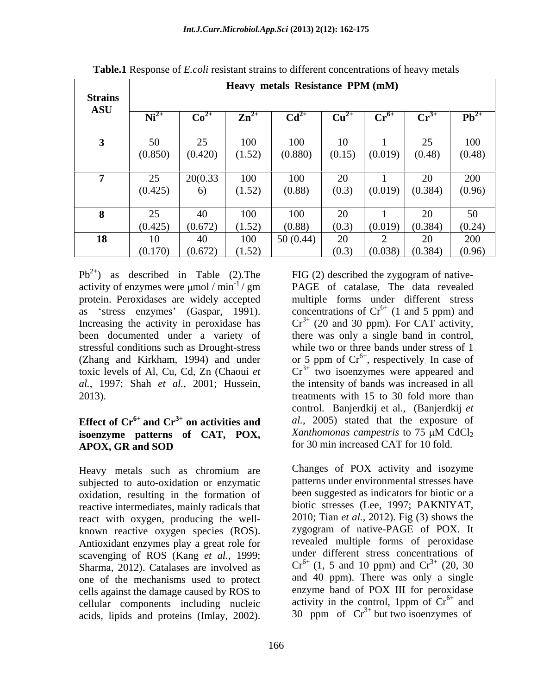|                | Heavy metals Resistance PPM (mM) |                 |                 |                 |           |                            |                     |           |  |
|----------------|----------------------------------|-----------------|-----------------|-----------------|-----------|----------------------------|---------------------|-----------|--|
| <b>Strains</b> |                                  |                 |                 |                 |           |                            |                     |           |  |
| <b>ASU</b>     |                                  |                 |                 |                 |           |                            |                     |           |  |
|                | $Ni2+$                           | Co <sup>2</sup> | $\mathbf{Zn}^2$ | Cd <sup>2</sup> | $Cu^{2+}$ | $\mathbf{Cr}^{\mathbf{o}}$ | $\mathbf{Cr}^{3+}$  | $Pb^{2+}$ |  |
|                |                                  |                 |                 |                 |           |                            |                     |           |  |
|                |                                  |                 |                 |                 |           |                            |                     |           |  |
|                | 50                               | 25              | 100             | 100             |           |                            | 25                  | 100       |  |
|                | (0.850)                          | (0.420)         | (1.52)          | (0.880)         | (0.15)    | (0.019)                    | (0.48)              | (0.48)    |  |
|                |                                  |                 |                 |                 |           |                            |                     |           |  |
|                | 25                               | 20(0.33)        | 100             | 100             | $\Omega$  |                            | 20                  | 200       |  |
|                |                                  |                 | (1.52)          | (0.88)          | (0.3)     | (0.019) (0.384)            |                     | (0.96)    |  |
|                | (0.425)                          | -6)             |                 |                 |           |                            |                     |           |  |
|                |                                  |                 |                 |                 |           |                            |                     |           |  |
|                | 25                               | 40              | 100             | 100             | $\Omega$  |                            | 20                  | 50        |  |
|                | (0.425)                          | (0.672)         | (1.52)          | (0.88)          | (0.3)     | (0.019) (0.384)            |                     | (0.24)    |  |
| 18             |                                  | 40              | 100             |                 | $\Omega$  |                            | 20                  | 200       |  |
|                |                                  |                 |                 | 50(0.44)        |           |                            |                     |           |  |
|                | (0.170)                          | (0.672)         | (1.52)          |                 | (0.3)     |                            | $(0.038)$ $(0.384)$ | (0.96)    |  |

**Table.1** Response of *E.coli* resistant strains to different concentrations of heavy metals

 $Pb^{2+}$  as described in Table (2). The FIG (2) described the zygogram of nativeactivity of enzymes were  $\mu$ mol / min<sup>-1</sup> / gm  $PAGE$  of catalase, The data revealed protein. Peroxidases are widely accepted multiple forms under different stress as 'stress enzymes' (Gaspar, 1991). concentrations of  $Cr^{6+}$  (1 and 5 ppm) and Increasing the activity in peroxidase has  $Cr^{3+}$  (20 and 30 ppm). For CAT activity, been documented under a variety of there was only a single band in control, stressful conditions such as Drought-stress while two or three bands under stress of 1 (Zhang and Kirkham, 1994) and under or 5 ppm of  $Cr<sup>6+</sup>$ , respectively In case of toxic levels of Al, Cu, Cd, Zn (Chaoui *et al.*, 1997; Shah *et al.*, 2001; Hussein, 2013). treatments with 15 to 30 fold more than

## **isoenzyme patterns of CAT, POX,** APOX, GR and SOD for 30 min increased CAT for 10 fold.

subjected to auto-oxidation or enzymatic oxidation, resulting in the formation of reactive intermediates, mainly radicals that react with oxygen, producing the well scavenging of ROS (Kang *et al.*, 1999; Sharma, 2012). Catalases are involved as one of the mechanisms used to protect cells against the damage caused by ROS to cellular components including nucleic

**Effect of Cr<sup>6+</sup> and Cr<sup>3+</sup> on activities and al., 2005) stated that the exposure of <b>isoenzyme** natterns of CAT POX *Xanthomonas campestris* to 75  $\mu$ M CdCl<sub>2</sub> B<sup>2</sup>) as described in Table (2). The FIG (2) described the zygogram of native-<br>protidinate consideration. Peroxideass are widely accepted the multiple forms under different stress<br>as 'stress expans' (Gaspar, 1991). Concen concentrations of  $Cr^{6+}$  (1 and 5 ppm) and  $Cr^{3+}$  (20 and 30 ppm). For CAT activity, , respectively. In case of  $Cr^{3+}$  two isoenzymes were appeared and the intensity of bands was increased in all control. Banjerdkij et al., (Banjerdkij *et al.*, 2005) stated that the exposure of *Xanthomonas campestris* to 75 μM CdCl<sub>2</sub> for 30 min increased CAT for 10 fold.

Heavy metals such as chromium are Changes of POX activity and isozyme known reactive oxygen species (ROS). <br>Antioxidant enzymes play a great role for revealed multiple forms of peroxidase Changes of POX activity and isozyme patterns under environmental stresses have been suggested as indicators for biotic or a biotic stresses (Lee, 1997; PAKNIYAT, 2010; Tian *et al.*, 2012). Fig (3) shows the zygogram of native-PAGE of POX. It revealed multiple forms of peroxidase under different stress concentrations of  $Cr^{6+}$  (1, 5 and 10 ppm) and  $Cr^{3+}$  (20, 30 and 40 ppm). There was only a single enzyme band of POX III for peroxidase activity in the control, 1ppm of  $Cr^{6+}$  and and 30 ppm of  $Cr^{3+}$  but two isoenzymes of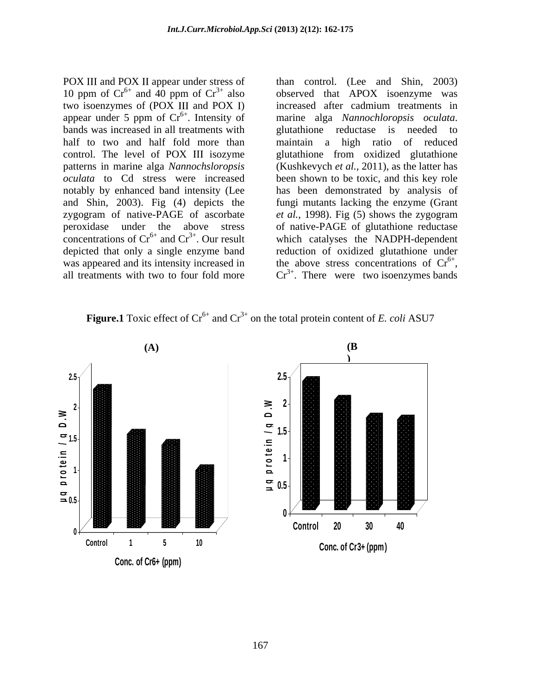POX III and POX II appear under stress of than control. (Lee and Shin, 2003) 10 ppm of  $Cr^{6+}$  and 40 ppm of  $Cr^{3+}$  also two isoenzymes of (POX III and POX I) increased after cadmium treatments in appear under 5 ppm of  $Cr^{6+}$ . Intensity of bands was increased in all treatments with subsetingular eductase is needed to half to two and half fold more than control. The level of POX III isozyme glutathione from oxidized glutathione patterns in marine alga *Nannochsloropsis*  (Kushkevych *et al.*, 2011), as the latter has *oculata* to Cd stress were increased been shown to be toxic, and this key role notably by enhanced band intensity (Lee has been demonstrated by analysis of and Shin, 2003). Fig (4) depicts the fungi mutants lacking the enzyme (Grant zygogram of native-PAGE of ascorbate *et al.*, 1998). Fig (5) shows the zygogram peroxidase under the above stress of native-PAGE of glutathione reductase concentrations of  $Cr^{6+}$  and  $Cr^{3+}$ . Our result depicted that only a single enzyme band reduction of oxidized glutathione under was appeared and its intensity increased in the above stress concentrations of  $Cr^{6+}$ , was appeared and its intensity increased in the above stress concentrations of  $Cr^{6+}$ ,<br>all treatments with two to four fold more  $Cr^{3+}$ . There were two isoenzymes bands

and  $40$  ppm of  $Cr^{3+}$  also observed that APOX isoenzyme was also observed that APOX isoenzyme was . Intensity of marine alga *Nannochloropsis oculata*. and  $Cr^{3+}$ . Our result which catalyses the NADPH-dependent glutathione reductase is needed to maintain a high ratio of reduced

**Figure.1** Toxic effect of  $Cr^{6+}$  and  $Cr^{3+}$  on the total protein content of *E. coli* ASU7



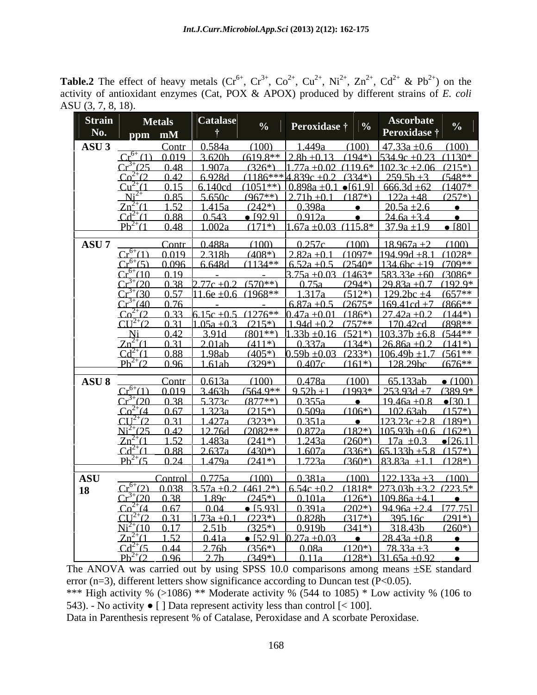**Table.2** The effect of heavy metals  $(Cr^{6+}, Cr^{3+}, Co^{2+}, Cu^{2+}, Ni^{2+}, Zn^{2+}, Cd^{2+} \& Pb^{2+})$  on the  $2^+$  & Pb<sup>2+</sup>) on the  $2^+$ ) on the activity of antioxidant enzymes (Cat, POX & APOX) produced by different strains of *E. coli* ASU (3, 7, 8, 18).

| <b>Strain</b>                                                                                                                               |  |  |
|---------------------------------------------------------------------------------------------------------------------------------------------|--|--|
| Peroxidase †<br><b>Peroxidase</b> †                                                                                                         |  |  |
| Contr   0.584a (100)   1.449a (100)   47.33a ±0.6 (100)<br>ASU 3                                                                            |  |  |
| $Cr^{6+}(1)$ 0.019 $\frac{1}{3.620}$ (619.8** $\frac{1}{2.8}$ b +0.13 (194*) $\frac{1}{534.9}$ c +0.23 (1130*                               |  |  |
| $Cr^{3+}(25)$ 0.48 1.907a (326*) 1.77a +0.02 (119.6* 102.3c +2.06 (215*)                                                                    |  |  |
| $Co^{2+}(2)$ 0.42 6.928d (1186***4.839c +0.2 (334*) 2.59.5b +3 (548**                                                                       |  |  |
| $Cu^{2+}(1)$ 0.15 6.140cd (1051**) 0.898a +0.1 • [61.9] 666.3d +62 (1407*                                                                   |  |  |
| $Ni^{2+}$ 0.85 5.650c (967**) 2.71b+0.1 (187*) 122a +48 (257*)                                                                              |  |  |
| $Zn^{2+}(1 \t 1.52 \t 1.415a \t (242^*) \t 0.398a \t 2.05a + 2.6 \t 2.05a + 2.6$                                                            |  |  |
| $Cd^{2+}(1 \t 0.88 \t 0.543 \t 0.543 \t 0.92.91 \t 0.912a \t 24.6a + 3.4 \t 0.912a$                                                         |  |  |
| $Pb^{2+}(1 \t 0.48 \t 1.002a \t (171*) \t 1.67a+0.03 \t (115.8*) \t 37.9a+1.9 \t 801$                                                       |  |  |
| Contr $0.488a$ (100) $0.257c$ (100) $18.967a + 2$ (100)<br><b>ASU 7</b>                                                                     |  |  |
| $Cr^{6+}(1)$ 0.019 2.318b (408*) 2.82a +0.1 (1097* 194.99d +8.1 (1028*                                                                      |  |  |
| $Cr^{6+}(5)$ 0.096 6.648d (1134** 6.52a +0.5 (2540* 134.6bc +19 (709**                                                                      |  |  |
| $-$ 3.75a +0.03 (1463* 583.33e +60 (3086*<br>$Cr^{6+}(10 \ 0.19$                                                                            |  |  |
| $Cr^{3+}(20)$ 0.38 2.77c +0.2 (570**) 0.75a (294*) 29.83a +0.7 (192.9*                                                                      |  |  |
| $Cr^{3+}(30)$ 0.57 11.6e +0.6 (1968** 1.317a (512*) 129.2bc +4 (657**                                                                       |  |  |
| $-$ 6.87a +0.5 (2675* 169.41cd +7 (866**<br>$Cr^{3+}(40)$ 0.76                                                                              |  |  |
| $Co^{2+}(2)$ 0.33 6.15c +0.5 (1276** 0.47a +0.01 (186*) 27.42a +0.2 (144*)                                                                  |  |  |
| $CU^{2+}(2)$ 0.31 $1.05a + 0.3$ (215 <sup>*</sup> ) 1.94d + 0.2 (757 <sup>**</sup> 170.42cd (898 <sup>**</sup>                              |  |  |
| Ni 0.42 3.91d $(801^{**})$ 1.33b +0.16 $(521^*)$ 1.03.37b +6.8 $(544^{**})$                                                                 |  |  |
| $7n^{2+}(1 \t 0.31 \t 2.01ab \t (411*) \t 0.337a \t (134*) \t 26.86a+0.2 \t (141*)$                                                         |  |  |
| $Cd^{2+}(1 \t 0.88 \t 1.98ab \t (405*) \t 0.59b + 0.03 \t (233*) \t 106.49b + 1.7 \t (561**$                                                |  |  |
| $Ph^{2+}(2)$ 0.96 1.61ab (329*) 0.407c (161*) 128.29bc (676**                                                                               |  |  |
| Contr $\begin{bmatrix} 0.613a & (100) & 0.478a & (100) & 65.133ab & (100) \end{bmatrix}$<br><b>ASU 8</b>                                    |  |  |
| $Cr^{6+}(1)$ 0.019 3.463b $(564.9^{**}$ 9.52b +1 $(1993^*$ 253.93d +7 $(389.9^*)$                                                           |  |  |
| $Cr^{3+}(20 \t038 \t5373c \t(877**) \t0355a \t\t e \t1946a+08 \t0301$                                                                       |  |  |
| $Co^{2+}(4 \t 0.67 \t 1.323a \t (215*) \t 0.509a \t (106*) \t 1.02.63ab \t (157*)$                                                          |  |  |
| $CU^{2+}(2 \t 0.31 \t 1.427a \t (323*) \t \overline{0.351a}$ $\bullet$ $123.23c + 2.8$ (189 <sup>*</sup> )                                  |  |  |
| $Ni^{2+}(25 \t 0.42 \t 12.76d \t (2082^{**} \t 0.872a \t (182^{*}) \t 105.93b + 0.6 \t (162^{*})$                                           |  |  |
| $7n^{2+}(1 \t 1.52 \t 1.483a \t (241*) \t 1.243a \t (260*) \t 1.7a +0.3 \t 1.2611$                                                          |  |  |
| $Cd^{2+}(1 \quad 0.88 \quad 2.637a \quad (430*) \quad 1.607a \quad (336*) \quad 65.133b + 5.8 \quad (157*)$                                 |  |  |
| $Ph^{2+}(5)$ 0.24 1.479a (241*) 1.723a (360*) 83.83a +1.1 (128*)                                                                            |  |  |
| Control $0.775a$ (100) $0.381a$ (100) $122.133a + 3$ (100)<br><b>ASU</b>                                                                    |  |  |
| $Cr^{6+}(2)$ 0.038 3.57a +0.2 (461.2*) $\left[6.54c + 0.2\right]$ (1818* 273.03b +3.2 (223.5*                                               |  |  |
| $Cr^{3+}(20 \t0.38 \t1.89c \t(245)) \t0.101a \t(126)) \t109.86a + 41$                                                                       |  |  |
| $Co^{2+}(4 \t 0.67 \t 0.04 \t 0.5931 \t 0.391a \t (202*) \t 94.96a + 2.4 \t 177.751$                                                        |  |  |
| $CU^{2+}(2)$ 0.31 $\left[1.73a+0.1\right]$ (223*) 0.828b (317*) 395.16c (291*)                                                              |  |  |
| $Ni^{2+}(10 \t 0.17 \t 2.51b \t (325*) \t 0.919b \t (341*) \t 318.43b \t (260*)$                                                            |  |  |
| $Zn^{2+}(1\quad 1.52 \quad 0.41a \quad \bullet 52.91 \quad 0.27a + 0.03 \quad \bullet \quad 28.43a + 0.8 \quad \bullet$                     |  |  |
| $Cd^{2+}(5)$ 0.44   2.76b (356*)   0.08a (120*)   78.33a +3<br>$\frac{Ph^{2+}(2)}{96}$ 0.96 2.7b (349*) 0.11a (128*) 31.65a +0.92 $\bullet$ |  |  |
|                                                                                                                                             |  |  |

The ANOVA was carried out by using SPSS  $10.0$  comparisons among means  $\pm$ SE standard error (n=3), different letters show significance according to Duncan test ( $P<0.05$ ).

\*\*\* High activity %  $(>1086)$  \*\* Moderate activity %  $(544 \text{ to } 1085)$  \* Low activity %  $(106 \text{ to } 1085)$ 543). - No activity  $\bullet$  [ ] Data represent activity less than control [< 100].

Data in Parenthesis represent % of Catalase, Peroxidase and A scorbate Peroxidase.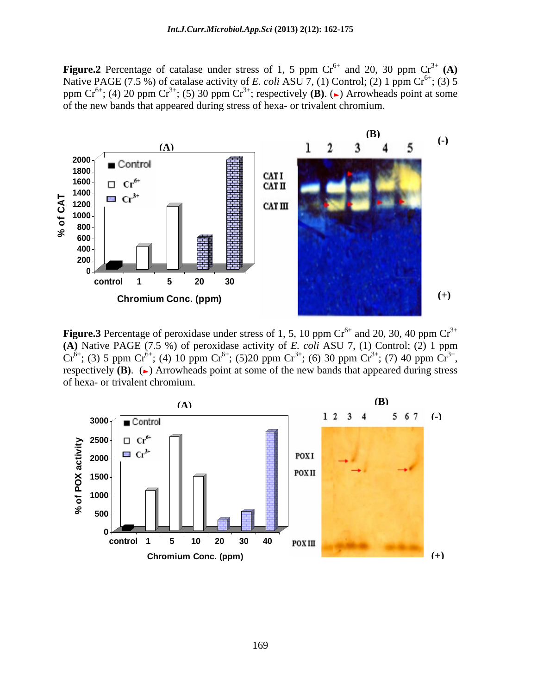**Figure.2** Percentage of catalase under stress of 1, 5 ppm  $Cr^{6+}$  and 20, 30 ppm  $Cr^{3+}$  (A) and 20, 30 ppm  $Cr^{3+}({\bf A})$ Native PAGE (7.5 %) of catalase activity of *E. coli* ASU 7, (1) Control; (2) 1 ppm  $Cr^{6+}$ ; (3) 5 ppm  $Cr^{6+}$ ; (4) 20 ppm  $Cr^{3+}$ ; (5) 30 ppm  $Cr^{3+}$ ; respectively **(B)**. ( $\rightarrow$ ) Arrowheads point at some of the new bands that appeared during stress of hexa- or trivalent chromium.



**Figure.3** Percentage of peroxidase under stress of 1, 5, 10 ppm  $Cr^{6+}$  and 20, 30, 40 ppm  $Cr^{3+}$ and 20, 30, 40 ppm  $Cr^{3+}$ **(A)** Native PAGE (7.5 %) of peroxidase activity of *E. coli* ASU 7, (1) Control; (2) 1 ppm  $Cr^{6+}$ ; (3) 5 ppm  $Cr^{6+}$ ; (4) 10 ppm  $Cr^{6+}$ ; (5)20 ppm  $Cr^{3+}$ ; (6) 30 ppm  $Cr^{3+}$ ; (7) 40 ppm  $Cr^{3+}$ , ; (6) 30 ppm  $Cr^{3+}$ ; (7) 40 ppm  $Cr^{3+}$ , ; (7) 40 ppm  $\widehat{\text{Cr}}^{3+}$ , respectively  $(B)$ .  $(\rightarrow)$  Arrowheads point at some of the new bands that appeared during stress of hexa- or trivalent chromium.

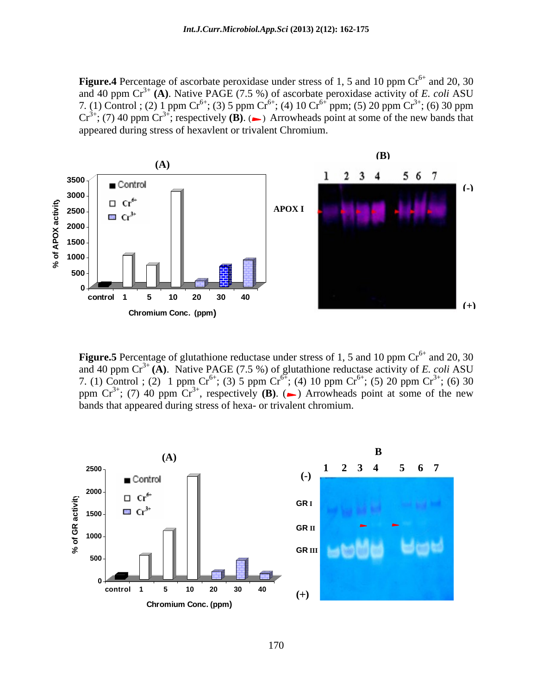**Figure.4** Percentage of ascorbate peroxidase under stress of 1, 5 and 10 ppm  $Cr^{6+}$  and 20, 30 and 20, 30 and 40 ppm  $Cr^{3+}$  (A). Native PAGE (7.5 %) of ascorbate peroxidase activity of *E. coli* ASU 7. (1) Control ; (2) 1 ppm  $Cr^{6+}$ ; (3) 5 ppm  $Cr^{6+}$ ; (4) 10  $Cr^{6+}$  ppm; (5) 20 ppm  $Cr^{3+}$ ; (6) 30 ppm  $Cr^{3+}$ ; (7) 40 ppm  $Cr^{3+}$ ; respectively **(B).** ( $\rightarrow$ ) Arrowheads point at some of the new bands that appeared during stress of hexavlent or trivalent Chromium.



**Figure.5** Percentage of glutathione reductase under stress of 1, 5 and 10 ppm  $Cr<sup>6+</sup>$  and 20, 30 and 40 ppm  $\mathrm{Cr}^{3+}$  (A). Native PAGE (7.5 %) of glutathione reductase activity of *E. coli* ASU 7. (1) Control ; (2) 1 ppm  $Cr^{6+}$ ; (3) 5 ppm  $Cr^{6+}$ ; (4) 10 ppm  $Cr^{6+}$ ; (5) 20 ppm  $Cr^{3+}$ ; (6) 30  $(5)$  20 ppm  $Cr^{3+}$ ; (6) 30 ; (6) 30 ppm  $Cr^{3+}$ ; (7) 40 ppm  $Cr^{3+}$ , respectively **(B).** ( $\rightarrow$ ) Arrowheads point at some of the new bands that appeared during stress of hexa- or trivalent chromium.

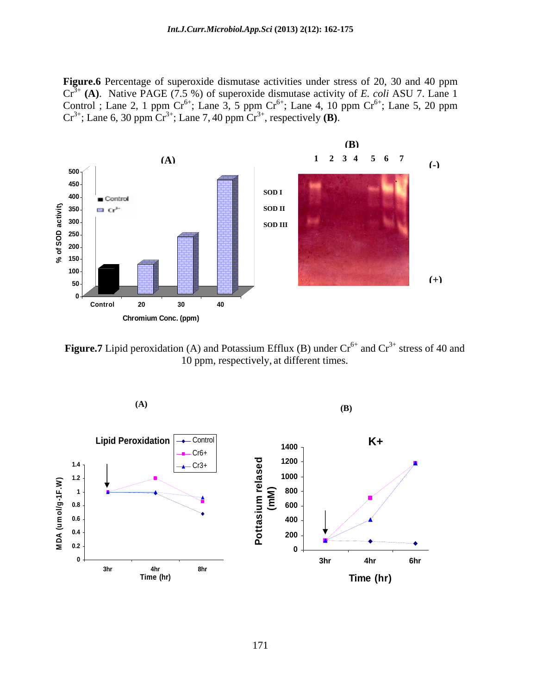**Figure.6** Percentage of superoxide dismutase activities under stress of 20, 30 and 40 ppm Cr3+ **(A)**. Native PAGE (7.5 %) of superoxide dismutase activity of *E. coli* ASU 7. Lane 1 Control ; Lane 2, 1 ppm  $Cr^{6+}$ ; Lane 3, 5 ppm  $Cr^{6+}$ ; Lane 4, 10 ppm  $Cr^{6+}$ ; Lane 5, 20 ppm ; Lane 5, 20 ppm  $Cr^{3+}$ ; Lane 6, 30 ppm  $Cr^{3+}$ ; Lane 7, 40 ppm  $Cr^{3+}$ , respectively **(B)**.



**Figure.7** Lipid peroxidation (A) and Potassium Efflux (B) under  $Cr^{6+}$  and  $Cr^{3+}$  stress of 40 and 10 ppm, respectively, at different times.

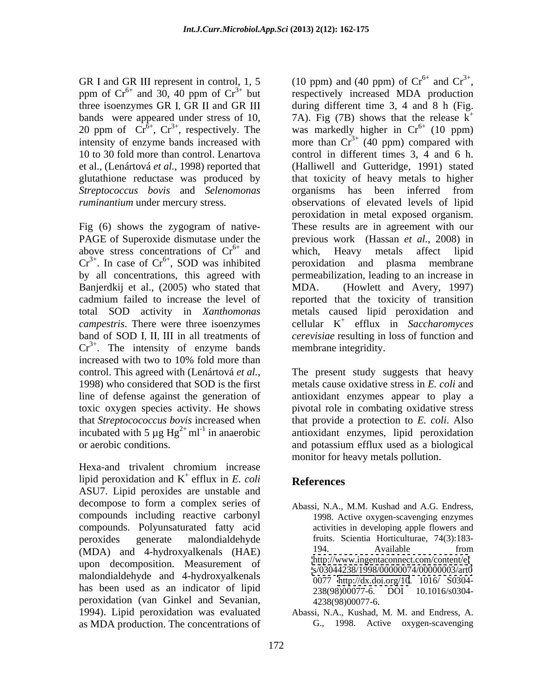bands were appeared under stress of 10,  $\frac{7A}{B}$ . Fig (7B) shows that the release k<sup>+</sup> 20 ppm of Cr<sup>6+</sup>, Cr<sup>3+</sup>, respectively. The was markedly higher in Cr<sup>6+</sup> (10 ppm) *Streptococcus bovis* and *Selenomonas* 

Fig (6) shows the zygogram of native above stress concentrations of  $Cr<sup>6+</sup>$  and which, Heavy metals affect lipid Banjerdkij et al., (2005) who stated that MDA. increased with two to 10% fold more than

Hexa-and trivalent chromium increase lipid peroxidation and  $K^+$  efflux in E. coli **References** + efflux in *E. coli* ASU7. Lipid peroxides are unstable and decompose to form a complex series of compounds including reactive carbonyl compounds. Polyunsaturated fatty acid peroxides generate malondialdehyde fruits. Scientia Horticulturae, 74(3):183- (MDA) and 4-hydroxyalkenals (HAE) 194. Available from upon decomposition. Measurement of malondialdehyde and 4-hydroxyalkenals has been used as an indicator of lipid  $\frac{38(98)(00077-6)}{238(98)(00077-6)}$  DOI 10.1016/s0304peroxidation (van Ginkel and Sevanian, 1994). Lipid peroxidation was evaluated Abassi, N.A., Kushad, M. M. and Endress, A. as MDA production. The concentrations of

GR I and GR III represent in control, 1, 5 (10 ppm) and (40 ppm) of  $Cr^{6+}$  and  $Cr^{3+}$ , ppm of  $Cr^{6+}$  and 30, 40 ppm of  $Cr^{3+}$  but respectively increased MDA production three isoenzymes GR I, GR II and GR III  $\qquad$  during different time 3, 4 and 8 h (Fig. 20 ppm of  $\widehat{\text{Cr}}^{\delta+}$ ,  $\text{Cr}^{3+}$ , respectively. The was markedly higher in  $\text{Cr}^{6+}$  (10 ppm) intensity of enzyme bands increased with more than  $Cr^{3+}$  (40 ppm) compared with 10 to 30 fold more than control. Lenartova control in different times 3, 4 and 6 h. et al., (Lenártová *et al.*, 1998) reported that (Halliwell and Gutteridge, 1991) stated glutathione reductase was produced by that toxicity of heavy metals to higher *ruminantium* under mercury stress. The observations of elevated levels of lipid PAGE of Superoxide dismutase under the previous work (Hassan *et al.*, 2008) in  $Cr^{3+}$ . In case of  $Cr^{6+}$ , SOD was inhibited peroxidation and plasma membrane , SOD was inhibited by all concentrations, this agreed with permeabilization, leading to an increase in cadmium failed to increase the level of reported that the toxicity of transition total SOD activity in *Xanthomonas*  metals caused lipid peroxidation and *campestris*. There were three isoenzymes cellular K + efflux in *Saccharomyces*  band of SOD I, II, III in all treatments of *cerevisiae* resulting in loss of function and  $Cr^{3+}$ . The intensity of enzyme bands membrane integridity. and  $Cr^{3+}$ , (10 ppm) and (40 ppm) of  $Cr^{6+}$  and  $Cr^{3+}$ ,<br>respectively increased MDA production 7A). Fig (7B) shows that the release  $k^+$  was markedly higher in  $Cr^{6+}$  (10 ppm) organisms has been inferred from peroxidation in metal exposed organism. These results are in agreement with our which, Heavy metals affect lipid peroxidation and plasma membrane (Howlett and Avery, 1997) membrane integridity.

control. This agreed with (Lenártová *et al.*,<br>1998) who considered that SOD is the first metals cause oxidative stress in *E. coli* and line of defense against the generation of antioxidant enzymes appear to play a toxic oxygen species activity. He shows pivotal role in combating oxidative stress that *Streptocococcus bovis* increased when that provide a protection to *E. coli*. Also incubated with 5  $\mu$ g Hg<sup>2+</sup> ml<sup>-1</sup> in anaerobic antioxidant enzymes, lipid peroxidation or aerobic conditions. and potassium efflux used as a biological The present study suggests that heavy metals cause oxidative stress in *E. coli* and monitor for heavy metals pollution.

### **References**

- Abassi, N.A., M.M. Kushad and A.G. Endress, 1998. Active oxygen-scavenging enzymes activities in developing apple flowers and 194. Available from <http://www.ingentaconnect.com/content/el> <s/03044238/1998/00000074/00000003/art0> 0077 <http://dx.doi.org/10>. 1016/ S0304- 238(98)00077-6. DOI 10.1016/s0304- 4238(98)00077-6.
- G., 1998. Active oxygen-scavenging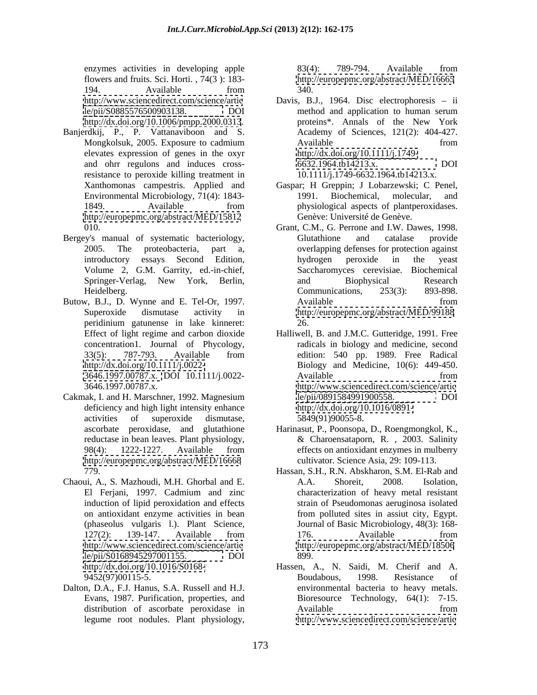flowers and fruits. Sci. Horti. , 74(3 ): 183- 194. Available from 340.

- Banjerdkij, P., P. Vattanaviboon and S. elevates expression of genes in the oxyr resistance to peroxide killing treatment in Xanthomonas campestris. Applied and <http://europepmc.org/abstract/MED/15812>
- Bergey's manual of systematic bacteriology,
- Butow, B.J., D. Wynne and E. Tel-Or, 1997. peridinium gatunense in lake kinneret:
- Cakmak, I. and H. Marschner, 1992. Magnesium deficiency and high light intensity enhance<br>activities of superoxide dismutase. <http://europepmc.org/abstract/MED/16668>
- Chaoui, A., S. Mazhoudi, M.H. Ghorbal and E. [le/pii/S0168945297001155.](le/pii/S0168945297001155) DOI
- Dalton, D.A., F.J. Hanus, S.A. Russell and H.J. legume root nodules. Plant physiology, <http://www.sciencedirect.com/science/artic>

enzymes activities in developing apple 83(4): 789-794. Available from 83(4): 789-794.Available from <http://europepmc.org/abstract/MED/16665> 340.

- <http://www.sciencedirect.com/science/artic> Davis, B.J., 1964. Disc electrophoresis ii [le/pii/S0885576500903138.](le/pii/S0885576500903138) DOI <http://dx.doi.org/10.1006/pmpp.2000.0313>. proteins\*. Annals of the New York Mongkolsuk, 2005. Exposure to cadmium and ohrr regulons and induces crossmethod and application to human serum proteins\*. Annals of the New York Academy of Sciences, 121(2): 404-427. Available from from <http://dx.doi.org/10.1111/j.1749-> [6632.1964.tb14213.x.](6632.1964.tb14213.x) DOI 10.1111/j.1749-6632.1964.tb14213.x.
- Environmental Microbiology, 71(4): 1843- 1849. Available from physiological aspects of plant person assessment of the Available Gaspar; H Greppin; J Lobarzewski; C Penel, 1991. Biochemical, molecular, and physiological aspects of plantperoxidases. Genève: Université de Genève.
- 010. Grant, C.M., G. Perrone and I.W. Dawes, 1998. 2005. The proteobacteria, part a, overlapping defenses for protection against introductory essays Second Edition, Volume 2, G.M. Garrity, ed.-in-chief, Saccharomyces cerevisiae. Biochemical Springer-Verlag, New York, Berlin, Heidelberg. 893-898. Communications, 253(3): 893-898. Superoxide dismutase activity in <http://europepmc.org/abstract/MED/99188> Glutathione and catalase provide hydrogen peroxide in the yeast and Biophysical Research Communications, 253(3): 893-898. Available from from 26.
- Effect of light regime and carbon dioxide Halliwell, B. and J.M.C. Gutteridge, 1991. Free concentration1. Journal of Phycology, radicals in biology and medicine, second 33(5): 787-793. Available from edition: 540 pp. 1989. Free Radical <http://dx.doi.org/10.1111/j.0022-> Biology and Medicine, 10(6): 449-450. [3646.1997.00787.x.](3646.1997.00787.x) DOI 10.1111/j.0022- 3646.1997.00787.x. <http://www.sciencedirect.com/science/artic> activities of superoxide dismutase, 5849(91)90055-8. edition: 540 pp. 1989. Free Radical Available from from [le/pii/0891584991900558.](le/pii/0891584991900558) <http://dx.doi.org/10.1016/0891-> 5849(91)90055-8.
- ascorbate peroxidase, and glutathione Harinasut, P., Poonsopa, D., Roengmongkol, K., reductase in bean leaves. Plant physiology, & Charoensataporn, R. , 2003. Salinity 98(4): 1222-1227. Available from effects on antioxidant enzymes in mulberry effects on antioxidant enzymes in mulberry cultivator. Science Asia, 29: 109-113.
- 779. Hassan, S.H., R.N. Abskharon, S.M. El-Rab and El Ferjani, 1997. Cadmium and zinc induction of lipid peroxidation and effects strain of Pseudomonas aeruginosa isolated on antioxidant enzyme activities in bean (phaseolus vulgaris l.). Plant Science, Journal of Basic Microbiology, 48(3): 168- 127(2): 139-147. Available from <http://www.sciencedirect.com/science/artic> <http://europepmc.org/abstract/MED/18506> A.A. Shoreit, 2008. Isolation, characterization of heavy metal resistant from polluted sites in assiut city, Egypt. 176. Available from 899.
- <http://dx.doi.org/10.1016/S0168-> Hassen, A., N. Saidi, M. Cherif and A. 9452(97)00115-5. **Boudabous**, 1998. Resistance of Evans, 1987. Purification, properties, and Bioresource Technology, 64(1): 7-15. distribution of ascorbate peroxidase in Boudabous, 1998. Resistance of environmental bacteria to heavy metals. Available from from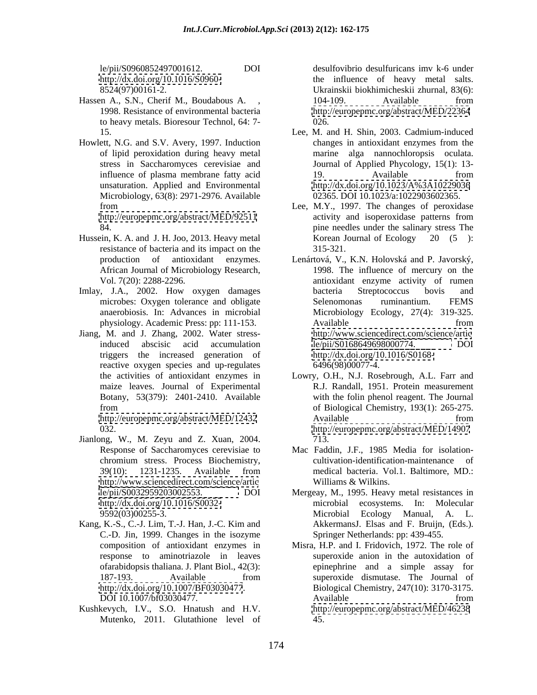- Hassen A., S.N., Cherif M., Boudabous A. ,  $104-109$ . Available from 1998. Resistance of environmental bacteria to heavy metals. Bioresour Technol, 64: 7-
- Howlett, N.G. and S.V. Avery, 1997. Induction of lipid peroxidation during heavy metal unsaturation. Applied and Environmental Microbiology, 63(8): 2971-2976. Available

- resistance of bacteria and its impact on the 315-321.
- 
- Jiang, M. and J. Zhang, 2002. Water stresstriggers the increased generation of reactive oxygen species and up-regulates

- Jianlong, W., M. Zeyu and Z. Xuan, 2004. <http://www.sciencedirect.com/science/artic>
- Kang, K.-S., C.-J. Lim, T.-J. Han, J.-C. Kim and C.-D. Jin, 1999. Changes in the isozyme response to aminotriazole in leaves
- Kushkevych, I.V., S.O. Hnatush and H.V. Mutenko, 2011. Glutathione level of

le/pii/S0960852497001612. DOI desulfovibrio desulfuricans imv k-6 under <http://dx.doi.org/10.1016/S0960-> the influence of heavy metal salts. 8524(97)00161-2. Ukrainskii biokhimicheskii zhurnal, 83(6): 104-109. Available from <http://europepmc.org/abstract/MED/22364> 026.

- 15. Lee, M. and H. Shin, 2003. Cadmium-induced stress in Saccharomyces cerevisiae and Journal of Applied Phycology, 15(1): 13 influence of plasma membrane fatty acid 19. Available from changes in antioxidant enzymes from the marine alga nannochloropsis oculata. 19. Available from <http://dx.doi.org/10.1023/A%3A10229036> 02365. DOI 10.1023/a:1022903602365.
- from Lee, M.Y., 1997. The changes of peroxidase <http://europepmc.org/abstract/MED/92511> activity and isoperoxidase patterns from 84. pine needles under the salinary stress The Hussein, K. A. and J. H. Joo, 2013. Heavy metal activity and isoperoxidase patterns from Korean Journal of Ecology 20 (5): 315-321.
- production of antioxidant enzymes. Lenártová, V., K.N. Holovská and P. Javorský, African Journal of Microbiology Research, 1998. The influence of mercury on the Vol. 7(20): 2288-2296. antioxidant enzyme activity of rumen Imlay, J.A., 2002. How oxygen damages bacteria Streptococcus bovis and microbes: Oxygen tolerance and obligate Selenomonas ruminantium. FEMS anaerobiosis. In: Advances in microbial Microbiology Ecology, 27(4): 319-325. physiology. Academic Press: pp: 111-153. induced abscisic acid accumulation bacteria Streptococcus bovis and Selenomonas ruminantium. FEMS Available from from <http://www.sciencedirect.com/science/artic> [le/pii/S0168649698000774.](le/pii/S0168649698000774) <http://dx.doi.org/10.1016/S0168-> 6496(98)00077-4.
	- the activities of antioxidant enzymes in Lowry, O.H., N.J. Rosebrough, A.L. Farr and maize leaves. Journal of Experimental R.J. Randall, 1951. Protein measurement Botany, 53(379): 2401-2410. Available with the folin phenol reagent. The Journal from of Biological Chemistry, 193(1): 265-275. <http://europepmc.org/abstract/MED/12432> Available from 032. <http://europepmc.org/abstract/MED/14907> Available from from 713.
	- Response of Saccharomyces cerevisiae to Mac Faddin, J.F., 1985 Media for isolation chromium stress. Process Biochemistry, 39(10): 1231-1235. Available from cultivation-identification-maintenance of medical bacteria. Vol.1. Baltimore, MD.: Williams & Wilkins.
	- [le/pii/S0032959203002553.](le/pii/S0032959203002553) DOI Mergeay, M., 1995. Heavy metal resistances in <http://dx.doi.org/10.1016/S0032-> microbial ecosystems. In: Molecular 9592(03)00255-3. Microbial Ecology Manual, A. L. AkkermansJ. Elsas and F. Bruijn, (Eds.). Springer Netherlands: pp: 439-455.
	- composition of antioxidant enzymes in Misra, H.P. and I. Fridovich, 1972. The role of ofarabidopsis thaliana. J. Plant Biol., 42(3): epinephrine and a simple assay for 187-193. Available from superoxide dismutase. The Journal of <http://dx.doi.org/10.1007/BF03030477>. Biological Chemistry, 247(10): 3170-3175. DOI 10.1007/bf03030477. Available throm **Available** from superoxide anion in the autoxidation of superoxide dismutase. The Journal of Available from from <http://europepmc.org/abstract/MED/46238> 45.